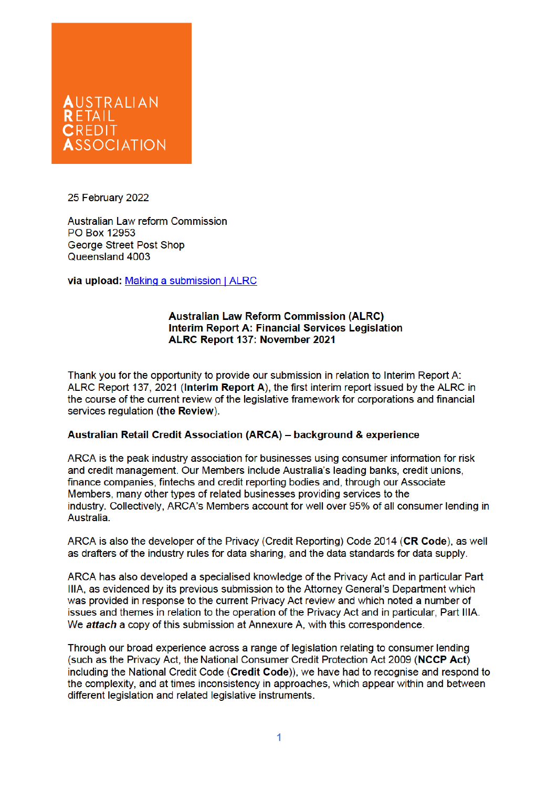

25 February 2022

Australian Law reform Commission PO Box 12953 George Street Post Shop Queensland 4003

via upload: Making a submission | ALRC

#### **Australian Law Reform Commission (ALRC) Interim Report A: Financial Services Legislation** ALRC Report 137: November 2021

Thank you for the opportunity to provide our submission in relation to Interim Report A: ALRC Report 137, 2021 (Interim Report A), the first interim report issued by the ALRC in the course of the current review of the legislative framework for corporations and financial services regulation (the Review).

## Australian Retail Credit Association (ARCA) - background & experience

ARCA is the peak industry association for businesses using consumer information for risk and credit management. Our Members include Australia's leading banks, credit unions. finance companies, fintechs and credit reporting bodies and, through our Associate Members, many other types of related businesses providing services to the industry. Collectively, ARCA's Members account for well over 95% of all consumer lending in Australia.

ARCA is also the developer of the Privacy (Credit Reporting) Code 2014 (CR Code), as well as drafters of the industry rules for data sharing, and the data standards for data supply.

ARCA has also developed a specialised knowledge of the Privacy Act and in particular Part IIIA, as evidenced by its previous submission to the Attorney General's Department which was provided in response to the current Privacy Act review and which noted a number of issues and themes in relation to the operation of the Privacy Act and in particular. Part IIIA. We attach a copy of this submission at Annexure A, with this correspondence.

Through our broad experience across a range of legislation relating to consumer lending (such as the Privacy Act, the National Consumer Credit Protection Act 2009 (NCCP Act) including the National Credit Code (Credit Code)), we have had to recognise and respond to the complexity, and at times inconsistency in approaches, which appear within and between different legislation and related legislative instruments.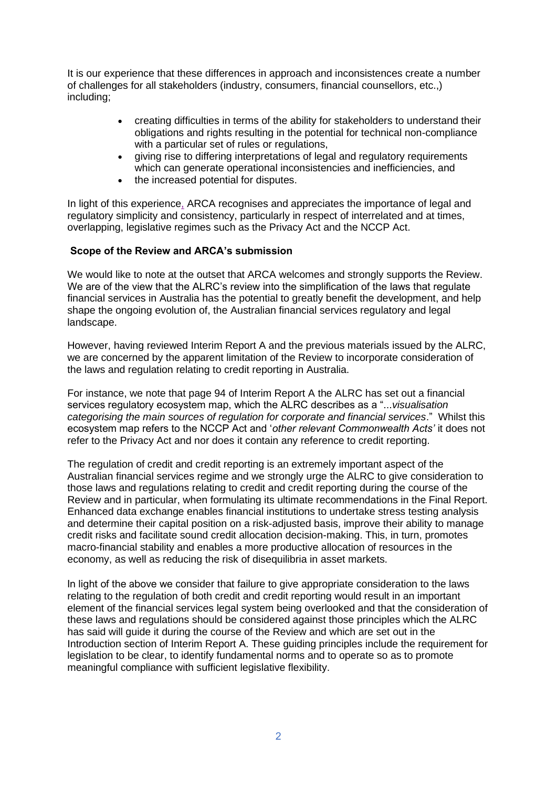It is our experience that these differences in approach and inconsistences create a number of challenges for all stakeholders (industry, consumers, financial counsellors, etc.,) including;

- creating difficulties in terms of the ability for stakeholders to understand their obligations and rights resulting in the potential for technical non-compliance with a particular set of rules or regulations.
- giving rise to differing interpretations of legal and regulatory requirements which can generate operational inconsistencies and inefficiencies, and
- the increased potential for disputes.

In light of this experience, ARCA recognises and appreciates the importance of legal and regulatory simplicity and consistency, particularly in respect of interrelated and at times, overlapping, legislative regimes such as the Privacy Act and the NCCP Act.

## **Scope of the Review and ARCA's submission**

We would like to note at the outset that ARCA welcomes and strongly supports the Review. We are of the view that the ALRC's review into the simplification of the laws that regulate financial services in Australia has the potential to greatly benefit the development, and help shape the ongoing evolution of, the Australian financial services regulatory and legal landscape.

However, having reviewed Interim Report A and the previous materials issued by the ALRC, we are concerned by the apparent limitation of the Review to incorporate consideration of the laws and regulation relating to credit reporting in Australia.

For instance, we note that page 94 of Interim Report A the ALRC has set out a financial services regulatory ecosystem map, which the ALRC describes as a "...*visualisation categorising the main sources of regulation for corporate and financial services*." Whilst this ecosystem map refers to the NCCP Act and '*other relevant Commonwealth Acts'* it does not refer to the Privacy Act and nor does it contain any reference to credit reporting.

The regulation of credit and credit reporting is an extremely important aspect of the Australian financial services regime and we strongly urge the ALRC to give consideration to those laws and regulations relating to credit and credit reporting during the course of the Review and in particular, when formulating its ultimate recommendations in the Final Report. Enhanced data exchange enables financial institutions to undertake stress testing analysis and determine their capital position on a risk-adjusted basis, improve their ability to manage credit risks and facilitate sound credit allocation decision-making. This, in turn, promotes macro-financial stability and enables a more productive allocation of resources in the economy, as well as reducing the risk of disequilibria in asset markets.

In light of the above we consider that failure to give appropriate consideration to the laws relating to the regulation of both credit and credit reporting would result in an important element of the financial services legal system being overlooked and that the consideration of these laws and regulations should be considered against those principles which the ALRC has said will guide it during the course of the Review and which are set out in the Introduction section of Interim Report A. These guiding principles include the requirement for legislation to be clear, to identify fundamental norms and to operate so as to promote meaningful compliance with sufficient legislative flexibility.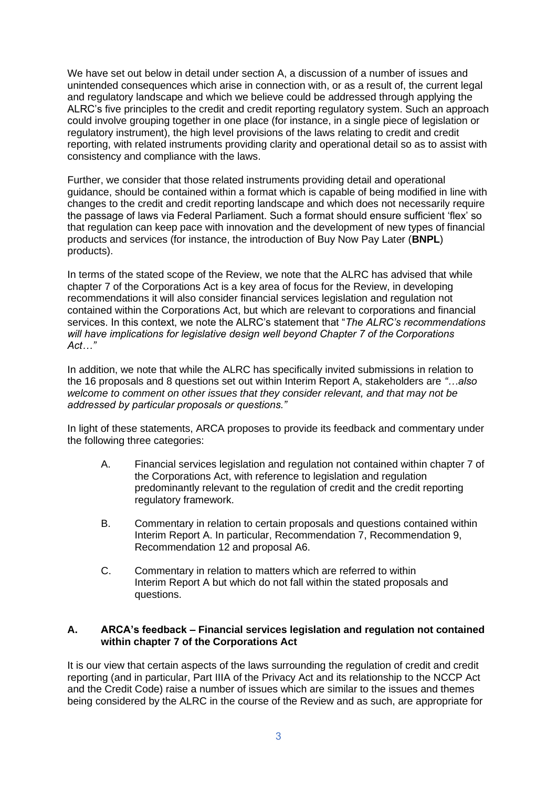We have set out below in detail under section A, a discussion of a number of issues and unintended consequences which arise in connection with, or as a result of, the current legal and regulatory landscape and which we believe could be addressed through applying the ALRC's five principles to the credit and credit reporting regulatory system. Such an approach could involve grouping together in one place (for instance, in a single piece of legislation or regulatory instrument), the high level provisions of the laws relating to credit and credit reporting, with related instruments providing clarity and operational detail so as to assist with consistency and compliance with the laws.

Further, we consider that those related instruments providing detail and operational guidance, should be contained within a format which is capable of being modified in line with changes to the credit and credit reporting landscape and which does not necessarily require the passage of laws via Federal Parliament. Such a format should ensure sufficient 'flex' so that regulation can keep pace with innovation and the development of new types of financial products and services (for instance, the introduction of Buy Now Pay Later (**BNPL**) products).

In terms of the stated scope of the Review, we note that the ALRC has advised that while chapter 7 of the Corporations Act is a key area of focus for the Review, in developing recommendations it will also consider financial services legislation and regulation not contained within the Corporations Act, but which are relevant to corporations and financial services. In this context, we note the ALRC's statement that "*The ALRC's recommendations will have implications for legislative design well beyond Chapter 7 of the Corporations Act…"*

In addition, we note that while the ALRC has specifically invited submissions in relation to the 16 proposals and 8 questions set out within Interim Report A, stakeholders are *"…also welcome to comment on other issues that they consider relevant, and that may not be addressed by particular proposals or questions."*

In light of these statements, ARCA proposes to provide its feedback and commentary under the following three categories:

- A. Financial services legislation and regulation not contained within chapter 7 of the Corporations Act, with reference to legislation and regulation predominantly relevant to the regulation of credit and the credit reporting regulatory framework.
- B. Commentary in relation to certain proposals and questions contained within Interim Report A. In particular, Recommendation 7, Recommendation 9, Recommendation 12 and proposal A6.
- C. Commentary in relation to matters which are referred to within Interim Report A but which do not fall within the stated proposals and questions.

## **A. ARCA's feedback – Financial services legislation and regulation not contained within chapter 7 of the Corporations Act**

It is our view that certain aspects of the laws surrounding the regulation of credit and credit reporting (and in particular, Part IIIA of the Privacy Act and its relationship to the NCCP Act and the Credit Code) raise a number of issues which are similar to the issues and themes being considered by the ALRC in the course of the Review and as such, are appropriate for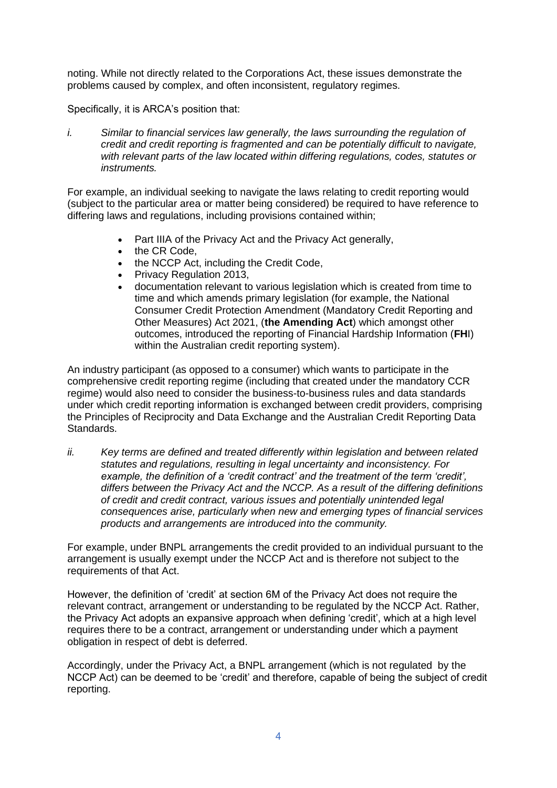noting. While not directly related to the Corporations Act, these issues demonstrate the problems caused by complex, and often inconsistent, regulatory regimes.

Specifically, it is ARCA's position that:

*i. Similar to financial services law generally, the laws surrounding the regulation of credit and credit reporting is fragmented and can be potentially difficult to navigate, with relevant parts of the law located within differing regulations, codes, statutes or instruments.* 

For example, an individual seeking to navigate the laws relating to credit reporting would (subject to the particular area or matter being considered) be required to have reference to differing laws and regulations, including provisions contained within;

- Part IIIA of the Privacy Act and the Privacy Act generally,
- the CR Code,
- the NCCP Act, including the Credit Code,
- Privacy Regulation 2013,
- documentation relevant to various legislation which is created from time to time and which amends primary legislation (for example, the National Consumer Credit Protection Amendment (Mandatory Credit Reporting and Other Measures) Act 2021, (**the Amending Act**) which amongst other outcomes, introduced the reporting of Financial Hardship Information (**FH**I) within the Australian credit reporting system).

An industry participant (as opposed to a consumer) which wants to participate in the comprehensive credit reporting regime (including that created under the mandatory CCR regime) would also need to consider the business-to-business rules and data standards under which credit reporting information is exchanged between credit providers, comprising the Principles of Reciprocity and Data Exchange and the Australian Credit Reporting Data Standards.

*ii. Key terms are defined and treated differently within legislation and between related statutes and regulations, resulting in legal uncertainty and inconsistency. For example, the definition of a 'credit contract' and the treatment of the term 'credit', differs between the Privacy Act and the NCCP. As a result of the differing definitions of credit and credit contract, various issues and potentially unintended legal consequences arise, particularly when new and emerging types of financial services products and arrangements are introduced into the community.* 

For example, under BNPL arrangements the credit provided to an individual pursuant to the arrangement is usually exempt under the NCCP Act and is therefore not subject to the requirements of that Act.

However, the definition of 'credit' at section 6M of the Privacy Act does not require the relevant contract, arrangement or understanding to be regulated by the NCCP Act. Rather, the Privacy Act adopts an expansive approach when defining 'credit', which at a high level requires there to be a contract, arrangement or understanding under which a payment obligation in respect of debt is deferred.

Accordingly, under the Privacy Act, a BNPL arrangement (which is not regulated by the NCCP Act) can be deemed to be 'credit' and therefore, capable of being the subject of credit reporting.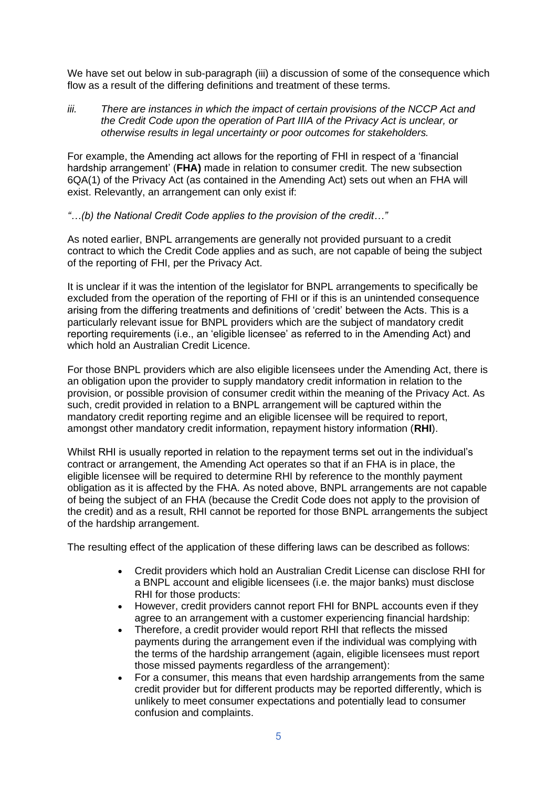We have set out below in sub-paragraph (iii) a discussion of some of the consequence which flow as a result of the differing definitions and treatment of these terms.

*iii. There are instances in which the impact of certain provisions of the NCCP Act and the Credit Code upon the operation of Part IIIA of the Privacy Act is unclear, or otherwise results in legal uncertainty or poor outcomes for stakeholders.* 

For example, the Amending act allows for the reporting of FHI in respect of a 'financial hardship arrangement' (**FHA)** made in relation to consumer credit. The new subsection 6QA(1) of the Privacy Act (as contained in the Amending Act) sets out when an FHA will exist. Relevantly, an arrangement can only exist if:

## *"…(b) the National Credit Code applies to the provision of the credit…"*

As noted earlier, BNPL arrangements are generally not provided pursuant to a credit contract to which the Credit Code applies and as such, are not capable of being the subject of the reporting of FHI, per the Privacy Act.

It is unclear if it was the intention of the legislator for BNPL arrangements to specifically be excluded from the operation of the reporting of FHI or if this is an unintended consequence arising from the differing treatments and definitions of 'credit' between the Acts. This is a particularly relevant issue for BNPL providers which are the subject of mandatory credit reporting requirements (i.e., an 'eligible licensee' as referred to in the Amending Act) and which hold an Australian Credit Licence.

For those BNPL providers which are also eligible licensees under the Amending Act, there is an obligation upon the provider to supply mandatory credit information in relation to the provision, or possible provision of consumer credit within the meaning of the Privacy Act. As such, credit provided in relation to a BNPL arrangement will be captured within the mandatory credit reporting regime and an eligible licensee will be required to report, amongst other mandatory credit information, repayment history information (**RHI**).

Whilst RHI is usually reported in relation to the repayment terms set out in the individual's contract or arrangement, the Amending Act operates so that if an FHA is in place, the eligible licensee will be required to determine RHI by reference to the monthly payment obligation as it is affected by the FHA. As noted above, BNPL arrangements are not capable of being the subject of an FHA (because the Credit Code does not apply to the provision of the credit) and as a result, RHI cannot be reported for those BNPL arrangements the subject of the hardship arrangement.

The resulting effect of the application of these differing laws can be described as follows:

- Credit providers which hold an Australian Credit License can disclose RHI for a BNPL account and eligible licensees (i.e. the major banks) must disclose RHI for those products:
- However, credit providers cannot report FHI for BNPL accounts even if they agree to an arrangement with a customer experiencing financial hardship:
- Therefore, a credit provider would report RHI that reflects the missed payments during the arrangement even if the individual was complying with the terms of the hardship arrangement (again, eligible licensees must report those missed payments regardless of the arrangement):
- For a consumer, this means that even hardship arrangements from the same credit provider but for different products may be reported differently, which is unlikely to meet consumer expectations and potentially lead to consumer confusion and complaints.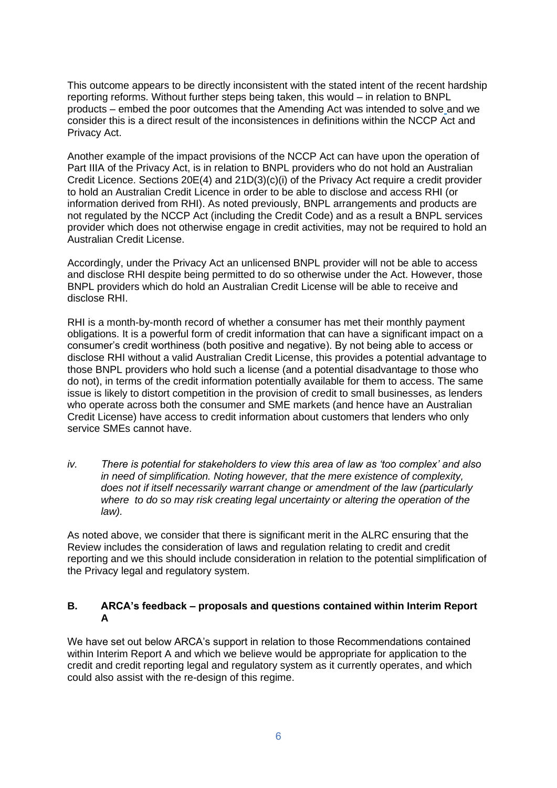This outcome appears to be directly inconsistent with the stated intent of the recent hardship reporting reforms. Without further steps being taken, this would – in relation to BNPL products – embed the poor outcomes that the Amending Act was intended to solve and we consider this is a direct result of the inconsistences in definitions within the NCCP Act and Privacy Act.

Another example of the impact provisions of the NCCP Act can have upon the operation of Part IIIA of the Privacy Act, is in relation to BNPL providers who do not hold an Australian Credit Licence. Sections 20E(4) and 21D(3)(c)(i) of the Privacy Act require a credit provider to hold an Australian Credit Licence in order to be able to disclose and access RHI (or information derived from RHI). As noted previously, BNPL arrangements and products are not regulated by the NCCP Act (including the Credit Code) and as a result a BNPL services provider which does not otherwise engage in credit activities, may not be required to hold an Australian Credit License.

Accordingly, under the Privacy Act an unlicensed BNPL provider will not be able to access and disclose RHI despite being permitted to do so otherwise under the Act. However, those BNPL providers which do hold an Australian Credit License will be able to receive and disclose RHI.

RHI is a month-by-month record of whether a consumer has met their monthly payment obligations. It is a powerful form of credit information that can have a significant impact on a consumer's credit worthiness (both positive and negative). By not being able to access or disclose RHI without a valid Australian Credit License, this provides a potential advantage to those BNPL providers who hold such a license (and a potential disadvantage to those who do not), in terms of the credit information potentially available for them to access. The same issue is likely to distort competition in the provision of credit to small businesses, as lenders who operate across both the consumer and SME markets (and hence have an Australian Credit License) have access to credit information about customers that lenders who only service SMEs cannot have.

*iv. There is potential for stakeholders to view this area of law as 'too complex' and also in need of simplification. Noting however, that the mere existence of complexity, does not if itself necessarily warrant change or amendment of the law (particularly where to do so may risk creating legal uncertainty or altering the operation of the law).* 

As noted above, we consider that there is significant merit in the ALRC ensuring that the Review includes the consideration of laws and regulation relating to credit and credit reporting and we this should include consideration in relation to the potential simplification of the Privacy legal and regulatory system.

## **B. ARCA's feedback – proposals and questions contained within Interim Report A**

We have set out below ARCA's support in relation to those Recommendations contained within Interim Report A and which we believe would be appropriate for application to the credit and credit reporting legal and regulatory system as it currently operates, and which could also assist with the re-design of this regime.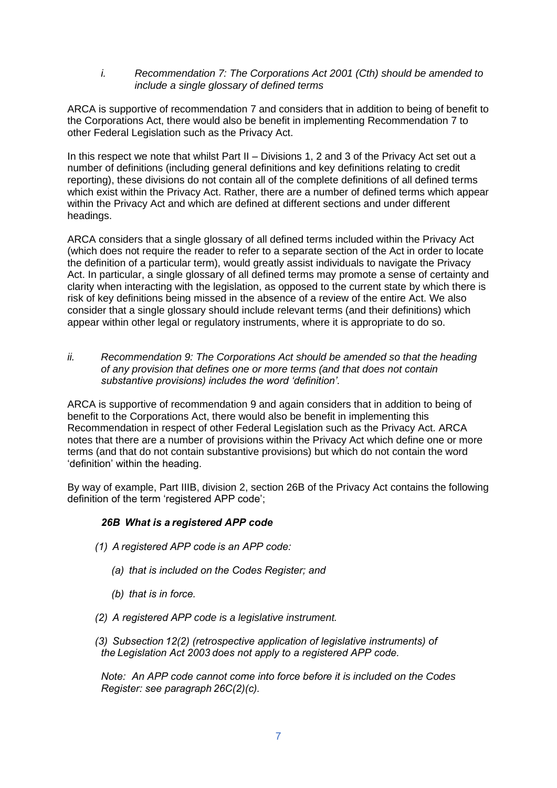*i. Recommendation 7: The Corporations Act 2001 (Cth) should be amended to include a single glossary of defined terms*

ARCA is supportive of recommendation 7 and considers that in addition to being of benefit to the Corporations Act, there would also be benefit in implementing Recommendation 7 to other Federal Legislation such as the Privacy Act.

In this respect we note that whilst Part II – Divisions 1, 2 and 3 of the Privacy Act set out a number of definitions (including general definitions and key definitions relating to credit reporting), these divisions do not contain all of the complete definitions of all defined terms which exist within the Privacy Act. Rather, there are a number of defined terms which appear within the Privacy Act and which are defined at different sections and under different headings.

ARCA considers that a single glossary of all defined terms included within the Privacy Act (which does not require the reader to refer to a separate section of the Act in order to locate the definition of a particular term), would greatly assist individuals to navigate the Privacy Act. In particular, a single glossary of all defined terms may promote a sense of certainty and clarity when interacting with the legislation, as opposed to the current state by which there is risk of key definitions being missed in the absence of a review of the entire Act. We also consider that a single glossary should include relevant terms (and their definitions) which appear within other legal or regulatory instruments, where it is appropriate to do so.

*ii. Recommendation 9: The Corporations Act should be amended so that the heading of any provision that defines one or more terms (and that does not contain substantive provisions) includes the word 'definition'.*

ARCA is supportive of recommendation 9 and again considers that in addition to being of benefit to the Corporations Act, there would also be benefit in implementing this Recommendation in respect of other Federal Legislation such as the Privacy Act. ARCA notes that there are a number of provisions within the Privacy Act which define one or more terms (and that do not contain substantive provisions) but which do not contain the word 'definition' within the heading.

By way of example, Part IIIB, division 2, section 26B of the Privacy Act contains the following definition of the term 'registered APP code';

## *26B  What is a registered APP code*

- *(1)  A registered APP code is an APP code:* 
	- *(a)  that is included on the Codes Register; and*
	- *(b)  that is in force.*
- *(2)  A registered APP code is a legislative instrument.*
- *(3)  Subsection 12(2) (retrospective application of legislative instruments) of the Legislation Act 2003 does not apply to a registered APP code.*

*Note:   An APP code cannot come into force before it is included on the Codes Register: see paragraph 26C(2)(c).*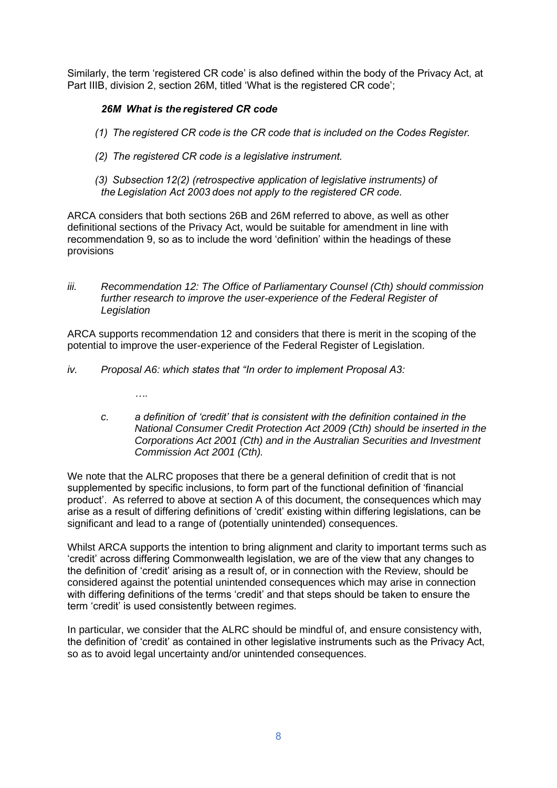Similarly, the term 'registered CR code' is also defined within the body of the Privacy Act, at Part IIIB, division 2, section 26M, titled 'What is the registered CR code';

# *26M  What is the registered CR code*

- *(1)  The registered CR code is the CR code that is included on the Codes Register.*
- *(2)  The registered CR code is a legislative instrument.*
- *(3)  Subsection 12(2) (retrospective application of legislative instruments) of the Legislation Act 2003 does not apply to the registered CR code.*

ARCA considers that both sections 26B and 26M referred to above, as well as other definitional sections of the Privacy Act, would be suitable for amendment in line with recommendation 9, so as to include the word 'definition' within the headings of these provisions

*iii. Recommendation 12: The Office of Parliamentary Counsel (Cth) should commission*  further research to improve the user-experience of the Federal Register of *Legislation*

ARCA supports recommendation 12 and considers that there is merit in the scoping of the potential to improve the user-experience of the Federal Register of Legislation.

- *iv. Proposal A6: which states that "In order to implement Proposal A3:*
	- *….*
	- *c. a definition of 'credit' that is consistent with the definition contained in the National Consumer Credit Protection Act 2009 (Cth) should be inserted in the Corporations Act 2001 (Cth) and in the Australian Securities and Investment Commission Act 2001 (Cth).*

We note that the ALRC proposes that there be a general definition of credit that is not supplemented by specific inclusions, to form part of the functional definition of 'financial product'. As referred to above at section A of this document, the consequences which may arise as a result of differing definitions of 'credit' existing within differing legislations, can be significant and lead to a range of (potentially unintended) consequences.

Whilst ARCA supports the intention to bring alignment and clarity to important terms such as 'credit' across differing Commonwealth legislation, we are of the view that any changes to the definition of 'credit' arising as a result of, or in connection with the Review, should be considered against the potential unintended consequences which may arise in connection with differing definitions of the terms 'credit' and that steps should be taken to ensure the term 'credit' is used consistently between regimes.

In particular, we consider that the ALRC should be mindful of, and ensure consistency with, the definition of 'credit' as contained in other legislative instruments such as the Privacy Act, so as to avoid legal uncertainty and/or unintended consequences.